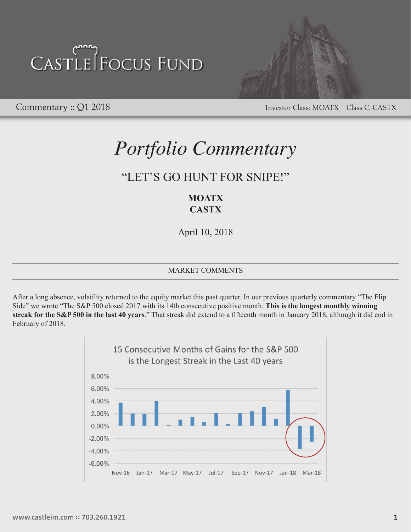

Commentary :: Q1 2018 Investor Class: MOATX Class C: CASTX

### *Portfolio Commentary*

### "LET'S GO HUNT FOR SNIPE!"

### **MOATX CASTX**

April 10, 2018

### MARKET COMMENTS

After a long absence, volatility returned to the equity market this past quarter. In our previous quarterly commentary "The Flip Side" we wrote "The S&P 500 closed 2017 with its 14th consecutive positive month. **This is the longest monthly winning streak for the S&P 500 in the last 40 years**." That streak did extend to a fifteenth month in January 2018, although it did end in February of 2018.

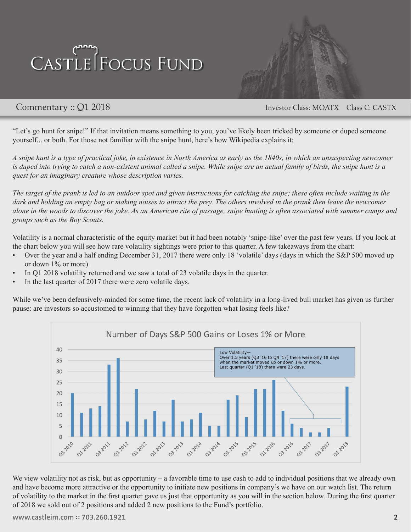

Commentary :: Q1 2018 Investor Class: MOATX Class C: CASTX

"Let's go hunt for snipe!" If that invitation means something to you, you've likely been tricked by someone or duped someone yourself... or both. For those not familiar with the snipe hunt, here's how Wikipedia explains it:

*A snipe hunt is a type of practical joke, in existence in North America as early as the 1840s, in which an unsuspecting newcomer is duped into trying to catch a non-existent animal called a snipe. While snipe are an actual family of birds, the snipe hunt is a quest for an imaginary creature whose description varies.*

*The target of the prank is led to an outdoor spot and given instructions for catching the snipe; these often include waiting in the dark and holding an empty bag or making noises to attract the prey. The others involved in the prank then leave the newcomer alone in the woods to discover the joke. As an American rite of passage, snipe hunting is often associated with summer camps and groups such as the Boy Scouts.*

Volatility is a normal characteristic of the equity market but it had been notably 'snipe-like' over the past few years. If you look at the chart below you will see how rare volatility sightings were prior to this quarter. A few takeaways from the chart:

- Over the year and a half ending December 31, 2017 there were only 18 'volatile' days (days in which the S&P 500 moved up or down 1% or more).
- In Q1 2018 volatility returned and we saw a total of 23 volatile days in the quarter.
- In the last quarter of 2017 there were zero volatile days.

While we've been defensively-minded for some time, the recent lack of volatility in a long-lived bull market has given us further pause: are investors so accustomed to winning that they have forgotten what losing feels like?



We view volatility not as risk, but as opportunity – a favorable time to use cash to add to individual positions that we already own and have become more attractive or the opportunity to initiate new positions in company's we have on our watch list. The return of volatility to the market in the first quarter gave us just that opportunity as you will in the section below. During the first quarter of 2018 we sold out of 2 positions and added 2 new positions to the Fund's portfolio.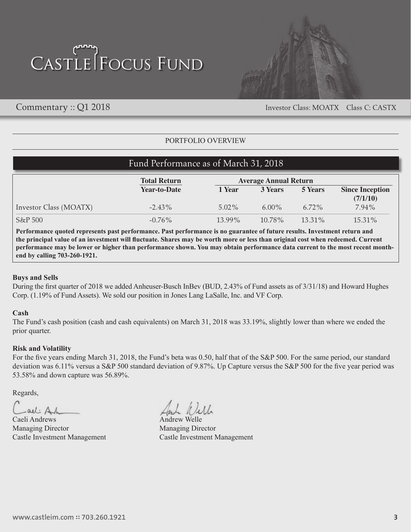

Commentary :: Q1 2018 Investor Class: MOATX Class C: CASTX

### PORTFOLIO OVERVIEW

| Fund Performance as of March 31, 2018 |                     |                              |           |           |                        |
|---------------------------------------|---------------------|------------------------------|-----------|-----------|------------------------|
|                                       | <b>Total Return</b> | <b>Average Annual Return</b> |           |           |                        |
|                                       | <b>Year-to-Date</b> | 1 Year                       | 3 Years   | 5 Years   | <b>Since Inception</b> |
|                                       |                     |                              |           |           | (7/1/10)               |
| Investor Class (MOATX)                | $-2.43\%$           | $5.02\%$                     | $6.00\%$  | $6.72\%$  | 7.94%                  |
| S&P 500                               | $-0.76\%$           | $13.99\%$                    | $10.78\%$ | $13.31\%$ | 15.31%                 |

**Performance quoted represents past performance. Past performance is no guarantee of future results. Investment return and the principal value of an investment will fluctuate. Shares may be worth more or less than original cost when redeemed. Current performance may be lower or higher than performance shown. You may obtain performance data current to the most recent monthend by calling 703-260-1921.** 

#### **Buys and Sells**

During the first quarter of 2018 we added Anheuser-Busch InBev (BUD, 2.43% of Fund assets as of 3/31/18) and Howard Hughes Corp. (1.19% of Fund Assets). We sold our position in Jones Lang LaSalle, Inc. and VF Corp.

#### **Cash**

The Fund's cash position (cash and cash equivalents) on March 31, 2018 was 33.19%, slightly lower than where we ended the prior quarter.

#### **Risk and Volatility**

For the five years ending March 31, 2018, the Fund's beta was 0.50, half that of the S&P 500. For the same period, our standard deviation was 6.11% versus a S&P 500 standard deviation of 9.87%. Up Capture versus the S&P 500 for the five year period was 53.58% and down capture was 56.89%.

Regards,

-all Ah

Caeli Andrews Managing Director Managing Director

And Will

Castle Investment Management Castle Investment Management